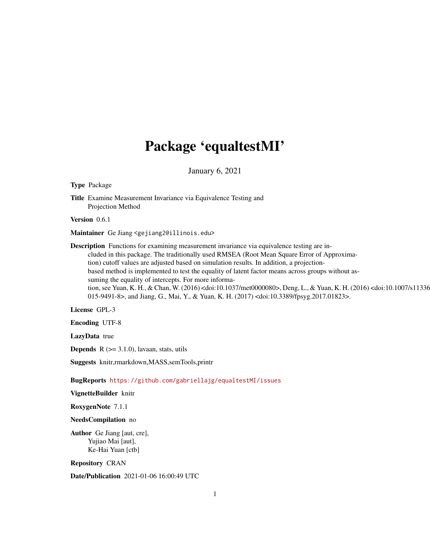# Package 'equaltestMI'

January 6, 2021

<span id="page-0-0"></span>Type Package

Title Examine Measurement Invariance via Equivalence Testing and Projection Method

Version 0.6.1

Maintainer Ge Jiang <gejiang2@illinois.edu>

Description Functions for examining measurement invariance via equivalence testing are included in this package. The traditionally used RMSEA (Root Mean Square Error of Approximation) cutoff values are adjusted based on simulation results. In addition, a projectionbased method is implemented to test the equality of latent factor means across groups without assuming the equality of intercepts. For more information, see Yuan, K. H., & Chan, W. (2016) <doi:10.1037/met0000080>, Deng, L., & Yuan, K. H. (2016) <doi:10.1007/s11336- 015-9491-8>, and Jiang, G., Mai, Y., & Yuan, K. H. (2017) <doi:10.3389/fpsyg.2017.01823>.

License GPL-3

Encoding UTF-8

LazyData true

**Depends**  $R$  ( $>= 3.1.0$ ), lavaan, stats, utils

Suggests knitr,rmarkdown,MASS,semTools,printr

BugReports <https://github.com/gabriellajg/equaltestMI/issues>

VignetteBuilder knitr

RoxygenNote 7.1.1

NeedsCompilation no

Author Ge Jiang [aut, cre], Yujiao Mai [aut], Ke-Hai Yuan [ctb]

Repository CRAN

Date/Publication 2021-01-06 16:00:49 UTC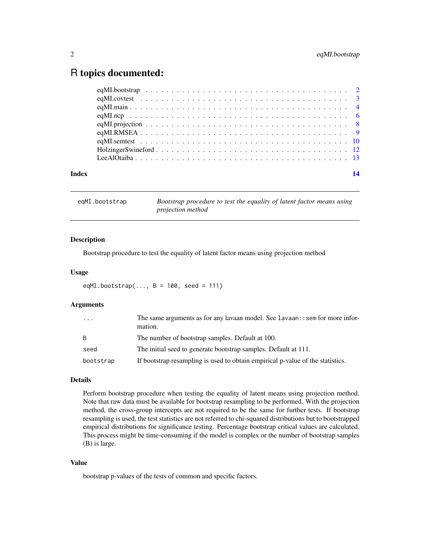# <span id="page-1-0"></span>R topics documented:

| Index |  |  |
|-------|--|--|

<span id="page-1-1"></span>eqMI.bootstrap *Bootstrap procedure to test the equality of latent factor means using projection method*

# Description

Bootstrap procedure to test the equality of latent factor means using projection method

#### Usage

```
eqMI.bootstrap(..., B = 100, seed = 111)
```
# Arguments

| $\cdot$ $\cdot$ $\cdot$ | The same arguments as for any lavaan model. See lavaan: : sem for more infor-<br>mation. |
|-------------------------|------------------------------------------------------------------------------------------|
| <sup>B</sup>            | The number of bootstrap samples. Default at 100.                                         |
| seed                    | The initial seed to generate bootstrap samples. Default at 111.                          |
| bootstrap               | If bootstrap resampling is used to obtain empirical p-value of the statistics.           |

#### Details

Perform bootstrap procedure when testing the equality of latent means using projection method. Note that raw data must be available for bootstrap resampling to be performed. With the projection method, the cross-group intercepts are not required to be the same for further tests. If bootstrap resampling is used, the test statistics are not referred to chi-squared distributions but to bootstrapped empirical distributions for significance testing. Percentage bootstrap critical values are calculated. This process might be time-consuming if the model is complex or the number of bootstrap samples (B) is large.

# Value

bootstrap p-values of the tests of common and specific factors.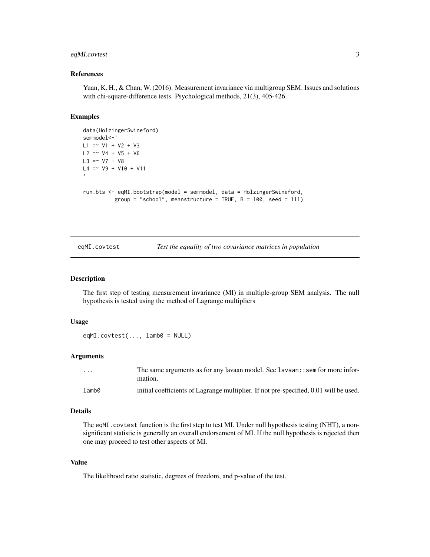# <span id="page-2-0"></span>eqMI.covtest 3

#### References

Yuan, K. H., & Chan, W. (2016). Measurement invariance via multigroup SEM: Issues and solutions with chi-square-difference tests. Psychological methods, 21(3), 405-426.

#### Examples

```
data(HolzingerSwineford)
semmodel<-'
L1 = V1 + V2 + V3L2 = V4 + V5 + V6L3 = V7 + V8L4 = \sim V9 + V10 + V11
run.bts <- eqMI.bootstrap(model = semmodel, data = HolzingerSwineford,
          group = "school", meanstructure = TRUE, B = 100, seed = 111)
```
eqMI.covtest *Test the equality of two covariance matrices in population*

# Description

The first step of testing measurement invariance (MI) in multiple-group SEM analysis. The null hypothesis is tested using the method of Lagrange multipliers

#### Usage

 $eqMI.covtest(..., lamb0 = NULL)$ 

#### Arguments

| $\cdot$ $\cdot$ $\cdot$ | The same arguments as for any lavaan model. See lavaan: : sem for more infor-<br>mation. |
|-------------------------|------------------------------------------------------------------------------------------|
| lamb0                   | initial coefficients of Lagrange multiplier. If not pre-specified, 0.01 will be used.    |

#### Details

The eqMI.covtest function is the first step to test MI. Under null hypothesis testing (NHT), a nonsignificant statistic is generally an overall endorsement of MI. If the null hypothesis is rejected then one may proceed to test other aspects of MI.

#### Value

The likelihood ratio statistic, degrees of freedom, and p-value of the test.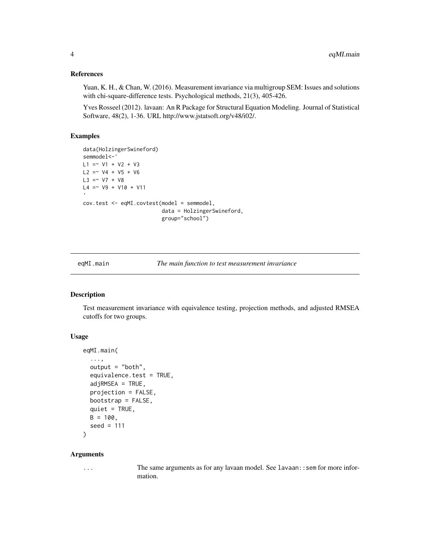#### <span id="page-3-0"></span>References

Yuan, K. H., & Chan, W. (2016). Measurement invariance via multigroup SEM: Issues and solutions with chi-square-difference tests. Psychological methods, 21(3), 405-426.

Yves Rosseel (2012). lavaan: An R Package for Structural Equation Modeling. Journal of Statistical Software, 48(2), 1-36. URL http://www.jstatsoft.org/v48/i02/.

# Examples

```
data(HolzingerSwineford)
semmodel<-'
L1 = V1 + V2 + V3L2 = \times V4 + V5 + V6
L3 = V7 + V8L4 = \sim V9 + V10 + V11
cov.test <- eqMI.covtest(model = semmodel,
                          data = HolzingerSwineford,
                          group="school")
```
eqMI.main *The main function to test measurement invariance*

# Description

Test measurement invariance with equivalence testing, projection methods, and adjusted RMSEA cutoffs for two groups.

# Usage

```
eqMI.main(
  ...,
  output = "both",
  equivalence.test = TRUE,
  adjRMSEA = TRUE,projection = FALSE,
 bootstrap = FALSE,
  quiet = TRUE,
 B = 100,
  seed = 111
)
```
# Arguments

... The same arguments as for any lavaan model. See lavaan::sem for more information.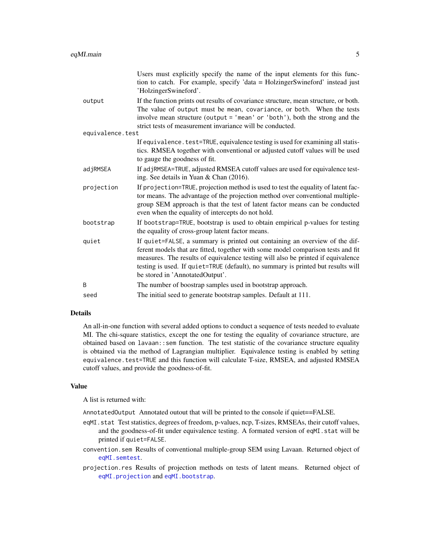<span id="page-4-0"></span>

|                  | Users must explicitly specify the name of the input elements for this func-<br>tion to catch. For example, specify 'data = HolzingerSwineford' instead just<br>'HolzingerSwineford'.                                                                                                                                                                                       |  |
|------------------|----------------------------------------------------------------------------------------------------------------------------------------------------------------------------------------------------------------------------------------------------------------------------------------------------------------------------------------------------------------------------|--|
| output           | If the function prints out results of covariance structure, mean structure, or both.<br>The value of output must be mean, covariance, or both. When the tests<br>involve mean structure (output = 'mean' or 'both'), both the strong and the<br>strict tests of measurement invariance will be conducted.                                                                  |  |
| equivalence.test |                                                                                                                                                                                                                                                                                                                                                                            |  |
|                  | If equivalence. test=TRUE, equivalence testing is used for examining all statis-<br>tics. RMSEA together with conventional or adjusted cutoff values will be used<br>to gauge the goodness of fit.                                                                                                                                                                         |  |
| adjRMSEA         | If adjRMSEA=TRUE, adjusted RMSEA cutoff values are used for equivalence test-<br>ing. See details in Yuan & Chan (2016).                                                                                                                                                                                                                                                   |  |
| projection       | If projection=TRUE, projection method is used to test the equality of latent fac-<br>tor means. The advantage of the projection method over conventional multiple-<br>group SEM approach is that the test of latent factor means can be conducted<br>even when the equality of intercepts do not hold.                                                                     |  |
| bootstrap        | If bootstrap=TRUE, bootstrap is used to obtain empirical p-values for testing<br>the equality of cross-group latent factor means.                                                                                                                                                                                                                                          |  |
| quiet            | If quiet=FALSE, a summary is printed out containing an overview of the dif-<br>ferent models that are fitted, together with some model comparison tests and fit<br>measures. The results of equivalence testing will also be printed if equivalence<br>testing is used. If quiet=TRUE (default), no summary is printed but results will<br>be stored in 'AnnotatedOutput'. |  |
| B                | The number of boostrap samples used in bootstrap approach.                                                                                                                                                                                                                                                                                                                 |  |
| seed             | The initial seed to generate bootstrap samples. Default at 111.                                                                                                                                                                                                                                                                                                            |  |
|                  |                                                                                                                                                                                                                                                                                                                                                                            |  |

# Details

An all-in-one function with several added options to conduct a sequence of tests needed to evaluate MI. The chi-square statistics, except the one for testing the equality of covariance structure, are obtained based on lavaan::sem function. The test statistic of the covariance structure equality is obtained via the method of Lagrangian multiplier. Equivalence testing is enabled by setting equivalence.test=TRUE and this function will calculate T-size, RMSEA, and adjusted RMSEA cutoff values, and provide the goodness-of-fit.

# Value

A list is returned with:

AnnotatedOutput Annotated outout that will be printed to the console if quiet==FALSE.

- eqMI.stat Test statistics, degrees of freedom, p-values, ncp, T-sizes, RMSEAs, their cutoff values, and the goodness-of-fit under equivalence testing. A formated version of eqMI.stat will be printed if quiet=FALSE.
- convention.sem Results of conventional multiple-group SEM using Lavaan. Returned object of [eqMI.semtest](#page-9-1).
- projection.res Results of projection methods on tests of latent means. Returned object of [eqMI.projection](#page-7-1) and [eqMI.bootstrap](#page-1-1).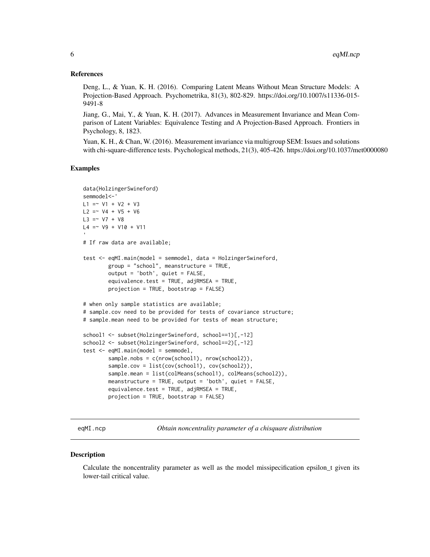# <span id="page-5-0"></span>References

Deng, L., & Yuan, K. H. (2016). Comparing Latent Means Without Mean Structure Models: A Projection-Based Approach. Psychometrika, 81(3), 802-829. https://doi.org/10.1007/s11336-015- 9491-8

Jiang, G., Mai, Y., & Yuan, K. H. (2017). Advances in Measurement Invariance and Mean Comparison of Latent Variables: Equivalence Testing and A Projection-Based Approach. Frontiers in Psychology, 8, 1823.

Yuan, K. H., & Chan, W. (2016). Measurement invariance via multigroup SEM: Issues and solutions with chi-square-difference tests. Psychological methods, 21(3), 405-426. https://doi.org/10.1037/met0000080

#### Examples

```
data(HolzingerSwineford)
semmodel<-'
L1 = V1 + V2 + V3L2 = ~V4 + V5 + V6L3 = V7 + V8L4 = \sim V9 + V10 + V11
# If raw data are available;
test <- eqMI.main(model = semmodel, data = HolzingerSwineford,
        group = "school", meanstructure = TRUE,
        output = 'both', quiet = FALSE,
        equivalence.test = TRUE, adjRMSEA = TRUE,
        projection = TRUE, bootstrap = FALSE)
# when only sample statistics are available;
# sample.cov need to be provided for tests of covariance structure;
# sample.mean need to be provided for tests of mean structure;
school1 <- subset(HolzingerSwineford, school==1)[,-12]
school2 <- subset(HolzingerSwineford, school==2)[,-12]
test \leq eqMI.main(model = semmodel,
        sample.nobs = c(nrow(school1), nrow(school2)),
        sample.cov = list(cov(school1), cov(school2)),
        sample.mean = list(colMeans(school1), colMeans(school2)),
        meanstructure = TRUE, output = 'both', quiet = FALSE,
        equivalence.test = TRUE, adjRMSEA = TRUE,
        projection = TRUE, bootstrap = FALSE)
```
eqMI.ncp *Obtain noncentrality parameter of a chisquare distribution*

#### **Description**

Calculate the noncentrality parameter as well as the model missipecification epsilon\_t given its lower-tail critical value.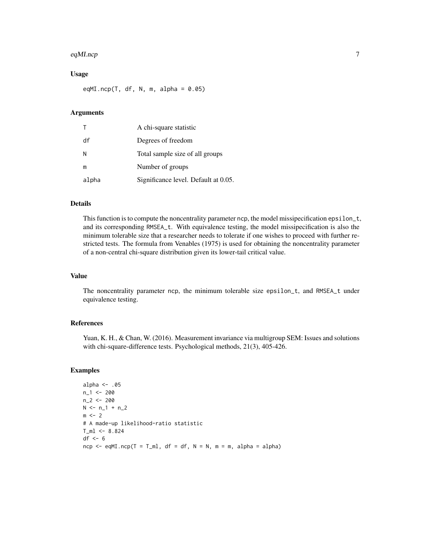#### eqMI.ncp 7

# Usage

eqMI.ncp(T, df, N, m, alpha =  $0.05$ )

# Arguments

| $\top$ | A chi-square statistic               |
|--------|--------------------------------------|
| df     | Degrees of freedom                   |
| N      | Total sample size of all groups      |
| m      | Number of groups                     |
| alpha  | Significance level. Default at 0.05. |

# Details

This function is to compute the noncentrality parameter ncp, the model missipecification epsilon\_t, and its corresponding RMSEA\_t. With equivalence testing, the model missipecification is also the minimum tolerable size that a researcher needs to tolerate if one wishes to proceed with further restricted tests. The formula from Venables (1975) is used for obtaining the noncentrality parameter of a non-central chi-square distribution given its lower-tail critical value.

#### Value

The noncentrality parameter ncp, the minimum tolerable size epsilon\_t, and RMSEA\_t under equivalence testing.

# References

Yuan, K. H., & Chan, W. (2016). Measurement invariance via multigroup SEM: Issues and solutions with chi-square-difference tests. Psychological methods, 21(3), 405-426.

#### Examples

```
alpha \leq -0.05n_1 < -200n_2 < - 200N \le n_1 + n_2m < -2# A made-up likelihood-ratio statistic
T ml \leq 8.824df \leftarrow 6ncp \leq - eqMI.ncp(T = T_ml, df = df, N = N, m = m, alpha = alpha)
```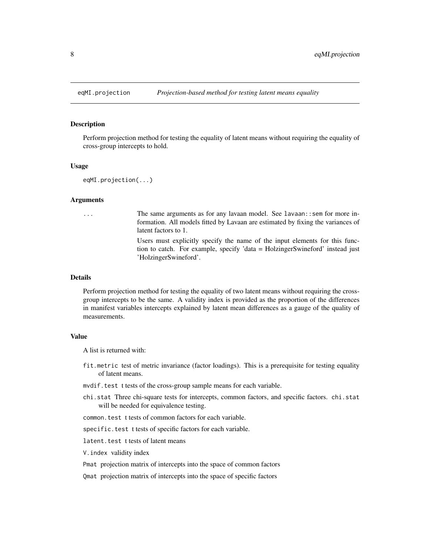<span id="page-7-1"></span><span id="page-7-0"></span>

#### Description

Perform projection method for testing the equality of latent means without requiring the equality of cross-group intercepts to hold.

#### Usage

eqMI.projection(...)

#### Arguments

... The same arguments as for any lavaan model. See lavaan::sem for more information. All models fitted by Lavaan are estimated by fixing the variances of latent factors to 1. Users must explicitly specify the name of the input elements for this func-

tion to catch. For example, specify 'data = HolzingerSwineford' instead just 'HolzingerSwineford'.

#### Details

Perform projection method for testing the equality of two latent means without requiring the crossgroup intercepts to be the same. A validity index is provided as the proportion of the differences in manifest variables intercepts explained by latent mean differences as a gauge of the quality of measurements.

### Value

A list is returned with:

- fit.metric test of metric invariance (factor loadings). This is a prerequisite for testing equality of latent means.
- mvdif.test t tests of the cross-group sample means for each variable.
- chi.stat Three chi-square tests for intercepts, common factors, and specific factors. chi.stat will be needed for equivalence testing.

common.test t tests of common factors for each variable.

specific.test t tests of specific factors for each variable.

latent.test t tests of latent means

V.index validity index

Pmat projection matrix of intercepts into the space of common factors

Qmat projection matrix of intercepts into the space of specific factors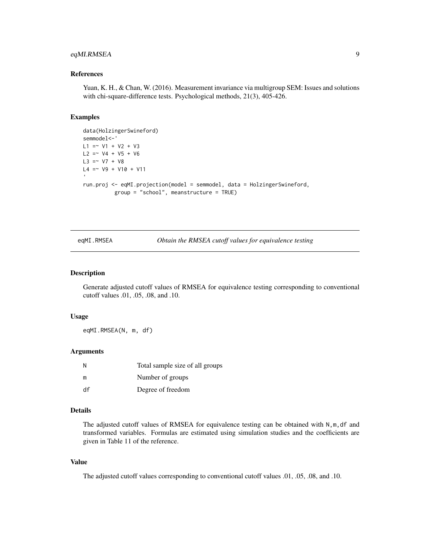# <span id="page-8-0"></span>eqMI.RMSEA 9

# References

Yuan, K. H., & Chan, W. (2016). Measurement invariance via multigroup SEM: Issues and solutions with chi-square-difference tests. Psychological methods, 21(3), 405-426.

#### Examples

```
data(HolzingerSwineford)
semmodel<-'
L1 = V1 + V2 + V3L2 = V4 + V5 + V6L3 = V7 + V8L4 = ~\vee V9 + V10 + V11
run.proj <- eqMI.projection(model = semmodel, data = HolzingerSwineford,
          group = "school", meanstructure = TRUE)
```
eqMI.RMSEA *Obtain the RMSEA cutoff values for equivalence testing*

#### Description

Generate adjusted cutoff values of RMSEA for equivalence testing corresponding to conventional cutoff values .01, .05, .08, and .10.

#### Usage

eqMI.RMSEA(N, m, df)

# Arguments

| N  | Total sample size of all groups |
|----|---------------------------------|
| m  | Number of groups                |
| df | Degree of freedom               |

# Details

The adjusted cutoff values of RMSEA for equivalence testing can be obtained with  $N, m, df$  and transformed variables. Formulas are estimated using simulation studies and the coefficients are given in Table 11 of the reference.

#### Value

The adjusted cutoff values corresponding to conventional cutoff values .01, .05, .08, and .10.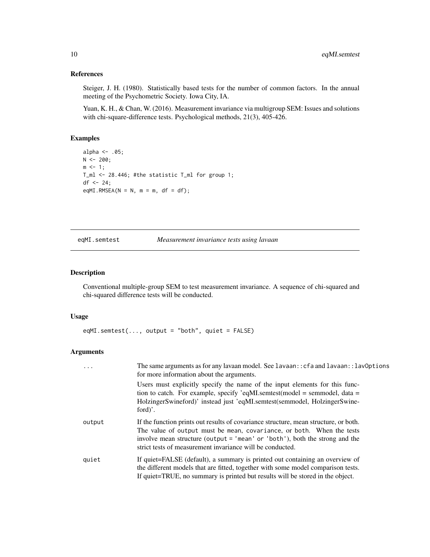# <span id="page-9-0"></span>References

Steiger, J. H. (1980). Statistically based tests for the number of common factors. In the annual meeting of the Psychometric Society. Iowa City, IA.

Yuan, K. H., & Chan, W. (2016). Measurement invariance via multigroup SEM: Issues and solutions with chi-square-difference tests. Psychological methods, 21(3), 405-426.

# Examples

```
alpha \leq -0.05;
N < -200;m \leq -1;
T_ml <- 28.446; #the statistic T_ml for group 1;
df <- 24;
eqMI.RMSEA(N = N, m = m, df = df);
```
### <span id="page-9-1"></span>eqMI.semtest *Measurement invariance tests using lavaan*

# Description

Conventional multiple-group SEM to test measurement invariance. A sequence of chi-squared and chi-squared difference tests will be conducted.

# Usage

eqMI.semtest(..., output = "both", quiet = FALSE)

# Arguments

| $\cdot$ $\cdot$ $\cdot$ | The same arguments as for any lavaan model. See lavaan:: cfa and lavaan:: lav0ptions<br>for more information about the arguments.                                                                                                                                                                         |  |  |
|-------------------------|-----------------------------------------------------------------------------------------------------------------------------------------------------------------------------------------------------------------------------------------------------------------------------------------------------------|--|--|
|                         | Users must explicitly specify the name of the input elements for this func-<br>tion to catch. For example, specify 'eqMLsemtest(model = semmodel, data =<br>HolzingerSwineford)' instead just 'eqMI.semtest(semmodel, HolzingerSwine-<br>ford)'.                                                          |  |  |
| output                  | If the function prints out results of covariance structure, mean structure, or both.<br>The value of output must be mean, covariance, or both. When the tests<br>involve mean structure (output = 'mean' or 'both'), both the strong and the<br>strict tests of measurement invariance will be conducted. |  |  |
| quiet                   | If quiet=FALSE (default), a summary is printed out containing an overview of<br>the different models that are fitted, together with some model comparison tests.<br>If quiet=TRUE, no summary is printed but results will be stored in the object.                                                        |  |  |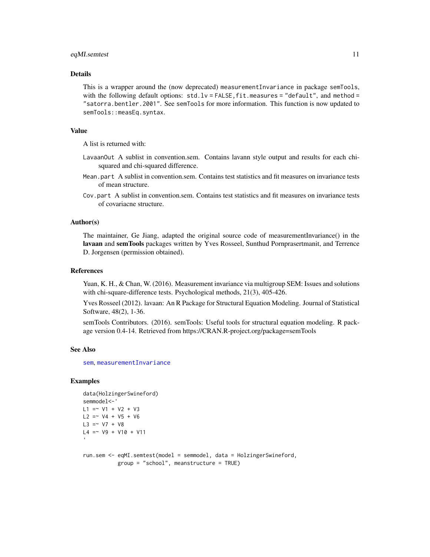### <span id="page-10-0"></span>eqMI.semtest 11

# Details

This is a wrapper around the (now deprecated) measurementInvariance in package semTools, with the following default options:  $std.lv = FALSE, fit$ .measures = "default", and method = "satorra.bentler.2001". See semTools for more information. This function is now updated to semTools::measEq.syntax.

# Value

A list is returned with:

- LavaanOut A sublist in convention.sem. Contains lavann style output and results for each chisquared and chi-squared difference.
- Mean.part A sublist in convention.sem. Contains test statistics and fit measures on invariance tests of mean structure.
- Cov.part A sublist in convention.sem. Contains test statistics and fit measures on invariance tests of covariacne structure.

#### Author(s)

The maintainer, Ge Jiang, adapted the original source code of measurementInvariance() in the lavaan and semTools packages written by Yves Rosseel, Sunthud Pornprasertmanit, and Terrence D. Jorgensen (permission obtained).

#### References

Yuan, K. H., & Chan, W. (2016). Measurement invariance via multigroup SEM: Issues and solutions with chi-square-difference tests. Psychological methods, 21(3), 405-426.

Yves Rosseel (2012). lavaan: An R Package for Structural Equation Modeling. Journal of Statistical Software, 48(2), 1-36.

semTools Contributors. (2016). semTools: Useful tools for structural equation modeling. R package version 0.4-14. Retrieved from https://CRAN.R-project.org/package=semTools

#### See Also

[sem](#page-0-0), [measurementInvariance](#page-0-0)

# Examples

```
data(HolzingerSwineford)
semmodel<-'
L1 = V1 + V2 + V3L2 = V4 + V5 + V6L3 = V7 + V8L4 = \sim V9 + V10 + V11
run.sem <- eqMI.semtest(model = semmodel, data = HolzingerSwineford,
           group = "school", meanstructure = TRUE)
```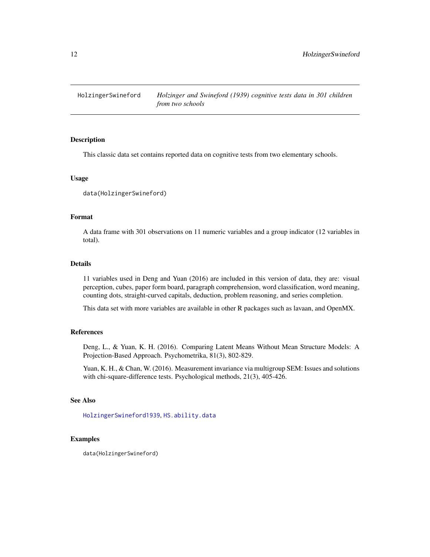<span id="page-11-0"></span>

# Description

This classic data set contains reported data on cognitive tests from two elementary schools.

#### Usage

data(HolzingerSwineford)

# Format

A data frame with 301 observations on 11 numeric variables and a group indicator (12 variables in total).

# Details

11 variables used in Deng and Yuan (2016) are included in this version of data, they are: visual perception, cubes, paper form board, paragraph comprehension, word classification, word meaning, counting dots, straight-curved capitals, deduction, problem reasoning, and series completion.

This data set with more variables are available in other R packages such as lavaan, and OpenMX.

#### References

Deng, L., & Yuan, K. H. (2016). Comparing Latent Means Without Mean Structure Models: A Projection-Based Approach. Psychometrika, 81(3), 802-829.

Yuan, K. H., & Chan, W. (2016). Measurement invariance via multigroup SEM: Issues and solutions with chi-square-difference tests. Psychological methods, 21(3), 405-426.

# See Also

[HolzingerSwineford1939](#page-0-0), [HS.ability.data](#page-0-0)

### Examples

data(HolzingerSwineford)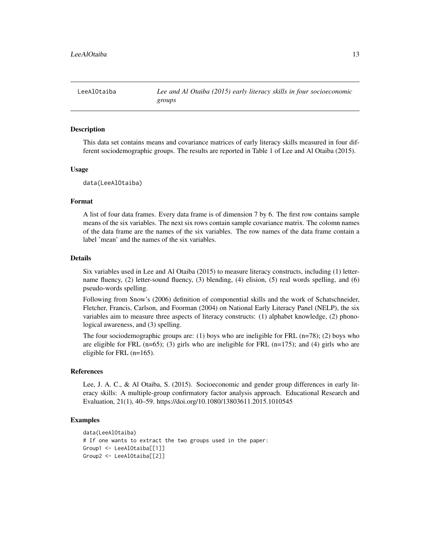<span id="page-12-0"></span>LeeAlOtaiba *Lee and Al Otaiba (2015) early literacy skills in four socioeconomic groups*

#### Description

This data set contains means and covariance matrices of early literacy skills measured in four different sociodemographic groups. The results are reported in Table 1 of Lee and Al Otaiba (2015).

# Usage

```
data(LeeAlOtaiba)
```
# Format

A list of four data frames. Every data frame is of dimension 7 by 6. The first row contains sample means of the six variables. The next six rows contain sample covariance matrix. The colomn names of the data frame are the names of the six variables. The row names of the data frame contain a label 'mean' and the names of the six variables.

#### Details

Six variables used in Lee and Al Otaiba (2015) to measure literacy constructs, including (1) lettername fluency, (2) letter-sound fluency, (3) blending, (4) elision, (5) real words spelling, and (6) pseudo-words spelling.

Following from Snow's (2006) definition of componential skills and the work of Schatschneider, Fletcher, Francis, Carlson, and Foorman (2004) on National Early Literacy Panel (NELP), the six variables aim to measure three aspects of literacy constructs: (1) alphabet knowledge, (2) phonological awareness, and (3) spelling.

The four sociodemographic groups are: (1) boys who are ineligible for FRL  $(n=78)$ ; (2) boys who are eligible for FRL  $(n=65)$ ; (3) girls who are ineligible for FRL  $(n=175)$ ; and (4) girls who are eligible for FRL (n=165).

# References

Lee, J. A. C., & Al Otaiba, S. (2015). Socioeconomic and gender group differences in early literacy skills: A multiple-group confirmatory factor analysis approach. Educational Research and Evaluation, 21(1), 40–59. https://doi.org/10.1080/13803611.2015.1010545

# Examples

```
data(LeeAlOtaiba)
# If one wants to extract the two groups used in the paper:
Group1 <- LeeAlOtaiba[[1]]
Group2 <- LeeAlOtaiba[[2]]
```